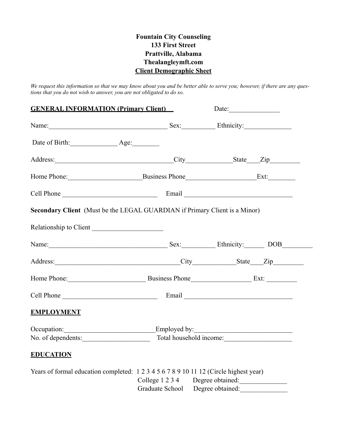### **Fountain City Counseling 133 First Street Prattville, Alabama Thealangleymft.com Client Demographic Sheet**

*We request this information so that we may know about you and be better able to serve you; however, if there are any questions that you do not wish to answer, you are not obligated to do so*.

| <b>GENERAL INFORMATION (Primary Client)</b>                                                                 |                                  | Date: $\frac{1}{\sqrt{1-\frac{1}{2}}\sqrt{1-\frac{1}{2}}\sqrt{1-\frac{1}{2}}\sqrt{1-\frac{1}{2}}\sqrt{1-\frac{1}{2}}}}$ |  |
|-------------------------------------------------------------------------------------------------------------|----------------------------------|-------------------------------------------------------------------------------------------------------------------------|--|
| Name: <u>Name:</u> Sex: Ethnicity:                                                                          |                                  |                                                                                                                         |  |
| Date of Birth: Age: Age:                                                                                    |                                  |                                                                                                                         |  |
| Address: City State Zip                                                                                     |                                  |                                                                                                                         |  |
| Home Phone: Business Phone Ext: Ext:                                                                        |                                  |                                                                                                                         |  |
|                                                                                                             |                                  |                                                                                                                         |  |
| <b>Secondary Client</b> (Must be the LEGAL GUARDIAN if Primary Client is a Minor)                           |                                  |                                                                                                                         |  |
| Relationship to Client                                                                                      |                                  |                                                                                                                         |  |
| Name: DOB                                                                                                   |                                  |                                                                                                                         |  |
| Address: City State Zip                                                                                     |                                  |                                                                                                                         |  |
| Home Phone: Business Phone Ext:                                                                             |                                  |                                                                                                                         |  |
|                                                                                                             |                                  |                                                                                                                         |  |
| <b>EMPLOYMENT</b>                                                                                           |                                  |                                                                                                                         |  |
| Occupation: Employed by: Employed by:<br>No. of dependents: Total household income: Total household income: |                                  |                                                                                                                         |  |
| <b>EDUCATION</b>                                                                                            |                                  |                                                                                                                         |  |
| Years of formal education completed: 1 2 3 4 5 6 7 8 9 10 11 12 (Circle highest year)                       | Graduate School Degree obtained: | College 1 2 3 4 Degree obtained:                                                                                        |  |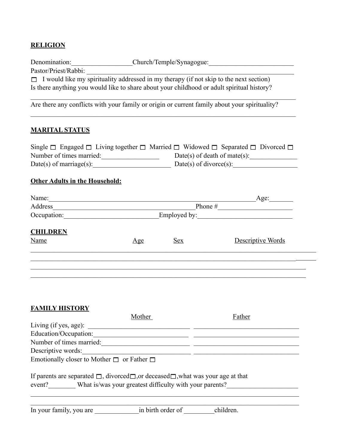### **RELIGION**

| Denomination:        | Church/Temple/Synagogue:                                                                      |
|----------------------|-----------------------------------------------------------------------------------------------|
| Pastor/Priest/Rabbi: |                                                                                               |
|                      | $\Box$ I would like my spirituality addressed in my therapy (if not skip to the next section) |
|                      | Is there anything you would like to share about your childhood or adult spiritual history?    |

 $\mathcal{L}_\mathcal{L} = \{ \mathcal{L}_\mathcal{L} = \{ \mathcal{L}_\mathcal{L} = \{ \mathcal{L}_\mathcal{L} = \{ \mathcal{L}_\mathcal{L} = \{ \mathcal{L}_\mathcal{L} = \{ \mathcal{L}_\mathcal{L} = \{ \mathcal{L}_\mathcal{L} = \{ \mathcal{L}_\mathcal{L} = \{ \mathcal{L}_\mathcal{L} = \{ \mathcal{L}_\mathcal{L} = \{ \mathcal{L}_\mathcal{L} = \{ \mathcal{L}_\mathcal{L} = \{ \mathcal{L}_\mathcal{L} = \{ \mathcal{L}_\mathcal{$ 

 $\mathcal{L}_\mathcal{L} = \{ \mathcal{L}_\mathcal{L} = \{ \mathcal{L}_\mathcal{L} = \{ \mathcal{L}_\mathcal{L} = \{ \mathcal{L}_\mathcal{L} = \{ \mathcal{L}_\mathcal{L} = \{ \mathcal{L}_\mathcal{L} = \{ \mathcal{L}_\mathcal{L} = \{ \mathcal{L}_\mathcal{L} = \{ \mathcal{L}_\mathcal{L} = \{ \mathcal{L}_\mathcal{L} = \{ \mathcal{L}_\mathcal{L} = \{ \mathcal{L}_\mathcal{L} = \{ \mathcal{L}_\mathcal{L} = \{ \mathcal{L}_\mathcal{$ 

Are there any conflicts with your family or origin or current family about your spirituality?

## **MARITAL STATUS**

| Single $\Box$ Engaged $\Box$ Living together $\Box$ Married $\Box$ Widowed $\Box$ Separated $\Box$ Divorced $\Box$ |                              |
|--------------------------------------------------------------------------------------------------------------------|------------------------------|
| Number of times married:                                                                                           | Date(s) of death of mate(s): |
| $Date(s)$ of marriage(s):                                                                                          | $Date(s)$ of divorce $(s)$ : |

### **Other Adults in the Household:**

| Name:           |                |                              | Age:              |  |  |
|-----------------|----------------|------------------------------|-------------------|--|--|
| Address         |                |                              | Phone #           |  |  |
| Occupation:     |                | Employed by: $\qquad \qquad$ |                   |  |  |
| <b>CHILDREN</b> |                |                              |                   |  |  |
| Name            | $\mathbf{Age}$ | <u>Sex</u>                   | Descriptive Words |  |  |
|                 |                |                              |                   |  |  |
|                 |                |                              |                   |  |  |
|                 |                |                              |                   |  |  |

|--|

|                                                                                                              | Mother                                                  | Father    |
|--------------------------------------------------------------------------------------------------------------|---------------------------------------------------------|-----------|
| Living (if yes, age): $\Box$                                                                                 |                                                         |           |
| Education/Occupation:                                                                                        |                                                         |           |
| Number of times married:                                                                                     |                                                         |           |
| Descriptive words:                                                                                           |                                                         |           |
| Emotionally closer to Mother $\Box$ or Father $\Box$                                                         |                                                         |           |
| If parents are separated $\Box$ , divorced $\Box$ , or deceased $\Box$ , what was your age at that<br>event? | What is/was your greatest difficulty with your parents? |           |
| In your family, you are                                                                                      | in birth order of                                       | children. |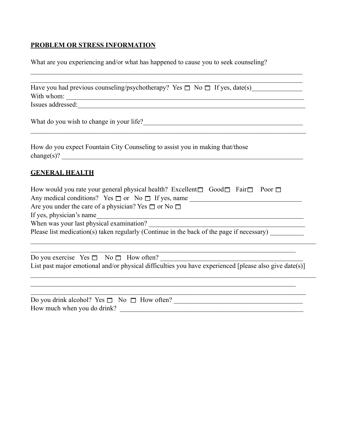# **PROBLEM OR STRESS INFORMATION**

What are you experiencing and/or what has happened to cause you to seek counseling?

 $\mathcal{L}_\mathcal{L} = \{ \mathcal{L}_\mathcal{L} = \{ \mathcal{L}_\mathcal{L} = \{ \mathcal{L}_\mathcal{L} = \{ \mathcal{L}_\mathcal{L} = \{ \mathcal{L}_\mathcal{L} = \{ \mathcal{L}_\mathcal{L} = \{ \mathcal{L}_\mathcal{L} = \{ \mathcal{L}_\mathcal{L} = \{ \mathcal{L}_\mathcal{L} = \{ \mathcal{L}_\mathcal{L} = \{ \mathcal{L}_\mathcal{L} = \{ \mathcal{L}_\mathcal{L} = \{ \mathcal{L}_\mathcal{L} = \{ \mathcal{L}_\mathcal{$ 

| Have you had previous counseling/psychotherapy? Yes $\Box$ No $\Box$ If yes, date(s)                                                                                                                                                                                                                                                                |
|-----------------------------------------------------------------------------------------------------------------------------------------------------------------------------------------------------------------------------------------------------------------------------------------------------------------------------------------------------|
|                                                                                                                                                                                                                                                                                                                                                     |
| Issues addressed: experience of the contract of the contract of the contract of the contract of the contract of the contract of the contract of the contract of the contract of the contract of the contract of the contract o                                                                                                                      |
|                                                                                                                                                                                                                                                                                                                                                     |
| How do you expect Fountain City Counseling to assist you in making that/those                                                                                                                                                                                                                                                                       |
| <b>GENERAL HEALTH</b>                                                                                                                                                                                                                                                                                                                               |
| How would you rate your general physical health? Excellent $\Box$ Good $\Box$ Fair $\Box$ Poor $\Box$                                                                                                                                                                                                                                               |
| Any medical conditions? Yes $\Box$ or No $\Box$ If yes, name                                                                                                                                                                                                                                                                                        |
| Are you under the care of a physician? Yes $\Box$ or No $\Box$                                                                                                                                                                                                                                                                                      |
| If yes, physician's name<br><u> 1989 - Johann Stein, marwolaethau a bhannaich an t-Amhain an t-Amhain an t-Amhain an t-Amhain an t-Amhain an</u>                                                                                                                                                                                                    |
|                                                                                                                                                                                                                                                                                                                                                     |
| Please list medication(s) taken regularly (Continue in the back of the page if necessary)                                                                                                                                                                                                                                                           |
| <u> 1989 - Johann Stoff, deutscher Stoff, der Stoff, der Stoff, der Stoff, der Stoff, der Stoff, der Stoff, der S</u>                                                                                                                                                                                                                               |
| Do you exercise $Yes \Box No \Box How often?$                                                                                                                                                                                                                                                                                                       |
| List past major emotional and/or physical difficulties you have experienced [please also give date(s)]                                                                                                                                                                                                                                              |
|                                                                                                                                                                                                                                                                                                                                                     |
| 11111111077<br>$-2$<br>$-1$ $\mathbf{r}$ $\mathbf{r}$ $\mathbf{r}$ $\mathbf{r}$ $\mathbf{r}$ $\mathbf{r}$ $\mathbf{r}$ $\mathbf{r}$ $\mathbf{r}$ $\mathbf{r}$ $\mathbf{r}$ $\mathbf{r}$ $\mathbf{r}$ $\mathbf{r}$ $\mathbf{r}$ $\mathbf{r}$ $\mathbf{r}$ $\mathbf{r}$ $\mathbf{r}$ $\mathbf{r}$ $\mathbf{r}$ $\mathbf{r}$ $\mathbf{r}$ $\mathbf{r}$ |

| Do you drink alcohol? Yes $\Box$ No $\Box$ How often? |  |
|-------------------------------------------------------|--|
| How much when you do drink?                           |  |